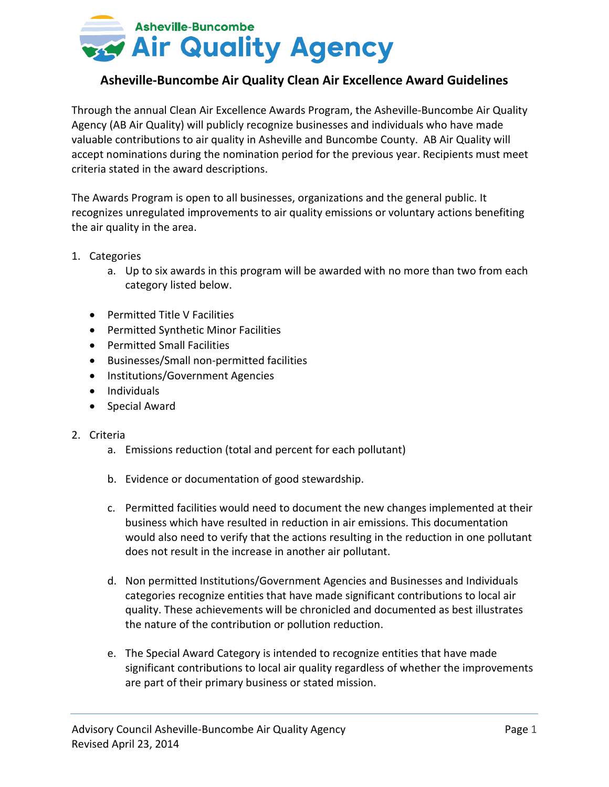

## **Asheville-Buncombe Air Quality Clean Air Excellence Award Guidelines**

Through the annual Clean Air Excellence Awards Program, the Asheville-Buncombe Air Quality Agency (AB Air Quality) will publicly recognize businesses and individuals who have made valuable contributions to air quality in Asheville and Buncombe County. AB Air Quality will accept nominations during the nomination period for the previous year. Recipients must meet criteria stated in the award descriptions.

The Awards Program is open to all businesses, organizations and the general public. It recognizes unregulated improvements to air quality emissions or voluntary actions benefiting the air quality in the area.

- 1. Categories
	- a. Up to six awards in this program will be awarded with no more than two from each category listed below.
	- Permitted Title V Facilities
	- Permitted Synthetic Minor Facilities
	- Permitted Small Facilities
	- Businesses/Small non-permitted facilities
	- Institutions/Government Agencies
	- Individuals
	- Special Award

## 2. Criteria

- a. Emissions reduction (total and percent for each pollutant)
- b. Evidence or documentation of good stewardship.
- c. Permitted facilities would need to document the new changes implemented at their business which have resulted in reduction in air emissions. This documentation would also need to verify that the actions resulting in the reduction in one pollutant does not result in the increase in another air pollutant.
- d. Non permitted Institutions/Government Agencies and Businesses and Individuals categories recognize entities that have made significant contributions to local air quality. These achievements will be chronicled and documented as best illustrates the nature of the contribution or pollution reduction.
- e. The Special Award Category is intended to recognize entities that have made significant contributions to local air quality regardless of whether the improvements are part of their primary business or stated mission.